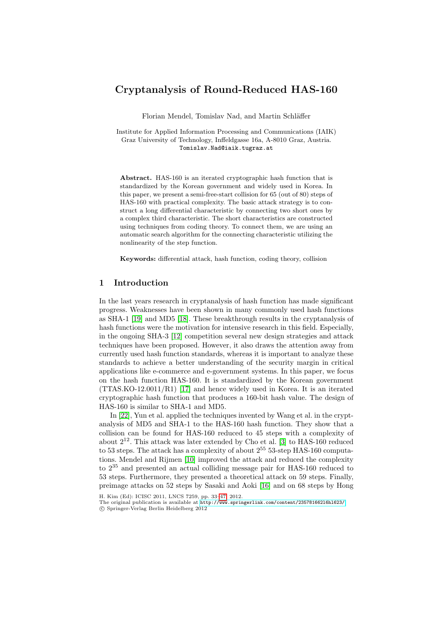# Cryptanalysis of Round-Reduced HAS-160

Florian Mendel, Tomislav Nad, and Martin Schläffer

Institute for Applied Information Processing and Communications (IAIK) Graz University of Technology, Inffeldgasse 16a, A-8010 Graz, Austria. Tomislav.Nad@iaik.tugraz.at

Abstract. HAS-160 is an iterated cryptographic hash function that is standardized by the Korean government and widely used in Korea. In this paper, we present a semi-free-start collision for 65 (out of 80) steps of HAS-160 with practical complexity. The basic attack strategy is to construct a long differential characteristic by connecting two short ones by a complex third characteristic. The short characteristics are constructed using techniques from coding theory. To connect them, we are using an automatic search algorithm for the connecting characteristic utilizing the nonlinearity of the step function.

Keywords: differential attack, hash function, coding theory, collision

## 1 Introduction

In the last years research in cryptanalysis of hash function has made significant progress. Weaknesses have been shown in many commonly used hash functions as SHA-1 [19] and MD5 [18]. These breakthrough results in the cryptanalysis of hash functions were the motivation for intensive research in this field. Especially, in t[he o](#page-12-1)ngoing SHA-3 [12] competition several new design strategies and attack techniques have been proposed. However, it also draws the attention away from currently used hash function standards, whereas it is important to analyze these standards to achieve a better understanding of the security margin in critical applications like e-commerce and e-government systems. In this paper, we focus on the hash function HAS-160. It is standardized by the Korean government (TTAS.KO-12.0011/R1) [17] and h[en](#page-11-0)ce widely used in Korea. It is an iterated cryptographic hash function that produces a 160-bit hash value. The design of HAS-[160](#page-12-2) is similar to SHA-1 and MD5.

In [22], Yun et al. applied the techniques invented by Wang et al. in the cryptanalysis of MD5 and SHA-1 to the HAS-160 hash function. They show that a collision can be found for H[AS-](#page-12-3)160 reduced to 45 steps with a complexity of about  $2^{12}$ . This attack was later extended by Cho et al. [3] to HAS-160 reduced to 53 steps. The attack has a complexity of about  $2^{55}$  53-step HAS-160 computations. Mendel and Rijmen [10] improved the attack and reduced the complexity to 2<sup>35</sup> and presented an actual colliding message pair for HAS-160 reduced to 53 steps. Furthermore, they presented a theoretical attack on 59 steps. Finally, preimage attacks on 52 steps by Sasaki and Aoki [16] and on 68 steps by Hong

H. Kim (Ed): ICISC 2011, LNCS 7259, pp. 33–47, 2012.

The original publication is available at http://www.springerlink.com/content/235781662l6hl623/ c Springer-Verlag Berlin Heidelberg 2012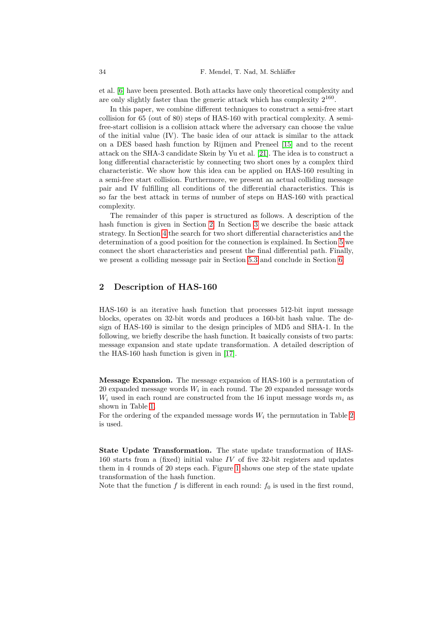et al. [6] have been presented. Both [atta](#page-12-4)cks have only theoretical complexity and are only slightly faster than [the](#page-12-5) generic attack which has complexity  $2^{160}$ .

In this paper, we combine different techniques to construct a semi-free start collision for 65 (out of 80) steps of HAS-160 with practical complexity. A semifree-start collision is a collision attack where the adversary can choose the value of the initial value (IV). The basic idea of our attack is similar to the attack on a DES based hash function by Rijmen and Preneel [15] and to the recent attack on the SHA-3 candidate Skein by Yu et al. [21]. The idea is to construct a long differential characteristic by connecting two short ones by a complex third characteristi[c.](#page-1-0) We show ho[w](#page-3-0) this idea can be applied on HAS-160 resulting in [a](#page-5-0) semi-free start collision. Furthermore, we present an actual colliding message pair and IV fulfilling all conditions of the differenti[al](#page-8-0) characteristics. This is so far the best attack in terms of number of steps on HAS-160 with practical complexity.

<span id="page-1-0"></span>The remainder of thi[s pa](#page-10-0)per is structured as fol[low](#page-10-1)s. A description of the hash function is given in Section 2. In Section 3 we describe the basic attack strategy. In Section 4 the search for two short differential characteristics and the determination of a good position for the connection is explained. In Section 5 we connect the short characteristics and present the final differential path. Finally, we present a colliding message pair in Section 5.3 and conclude in Section 6.

## 2 Description of HAS-160

HAS-160 is an it[era](#page-12-1)tive hash function that processes 512-bit input message blocks, operates on 32-bit words and produces a 160-bit hash value. The design of HAS-160 is similar to the design principles of MD5 and SHA-1. In the following, we briefly describe the hash function. It basically consists of two parts: message expansion and state update transformation. A detailed description of the HAS-160 hash function is given in [17].

Message Expansion. The message expansion of HAS-160 is a permutation of 20 expanded message words  $W_i$  in each round. The 20 expanded message words  $W_i$  used in each round are constructed from the 16 input message words  $m_i$  as shown in Table 1.

For t[he](#page-3-1) ordering of the expanded message words  $W_i$  the permutation in Table 2 is used.

State Update Transformation. The state update transformation of HAS-160 starts from a (fixed) initial value IV of five 32-bit registers and updates them in 4 rounds of 20 steps each. Figure 1 shows one step of the state update transformation of the hash function.

Note that the function  $f$  is different in each round:  $f_0$  is used in the first round,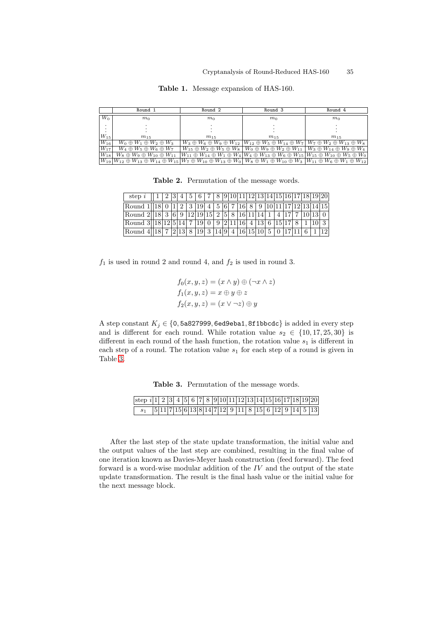|          | Round 1                                                                                                                                                                                                                                                                        | Round <sub>2</sub> | Round <sub>3</sub>                                                                                                                       | Round 4                                                                                                                                                                                         |
|----------|--------------------------------------------------------------------------------------------------------------------------------------------------------------------------------------------------------------------------------------------------------------------------------|--------------------|------------------------------------------------------------------------------------------------------------------------------------------|-------------------------------------------------------------------------------------------------------------------------------------------------------------------------------------------------|
| $W_0$    | m <sub>0</sub>                                                                                                                                                                                                                                                                 | m <sub>0</sub>     | m <sub>0</sub>                                                                                                                           | m <sub>0</sub>                                                                                                                                                                                  |
|          |                                                                                                                                                                                                                                                                                |                    |                                                                                                                                          |                                                                                                                                                                                                 |
| $W_{15}$ | $m_{15}$                                                                                                                                                                                                                                                                       | $m_{15}$           | $m_{15}$                                                                                                                                 | $m_{15}$                                                                                                                                                                                        |
| $W_{16}$ | $W_0 \oplus W_1 \oplus W_2 \oplus W_3$                                                                                                                                                                                                                                         |                    | $W_3 \oplus W_6 \oplus W_9 \oplus W_{12}$ $ W_{12} \oplus W_5 \oplus W_{14} \oplus W_7 $ $W_7 \oplus W_2 \oplus W_{13} \oplus W_8$       |                                                                                                                                                                                                 |
| $W_{17}$ | $W_4 \oplus W_5 \oplus W_6 \oplus W_7$                                                                                                                                                                                                                                         |                    | $W_{15} \oplus W_2 \oplus W_5 \oplus W_8 \mid W_0 \oplus W_9 \oplus W_2 \oplus W_{11} \mid W_3 \oplus W_{14} \oplus W_9 \oplus W_4 \mid$ |                                                                                                                                                                                                 |
| $W_{18}$ | $W_8 \oplus W_9 \oplus W_{10} \oplus W_{11}$                                                                                                                                                                                                                                   |                    |                                                                                                                                          | $\left[W_{11} \oplus W_{14} \oplus W_1 \oplus W_4\right] \cup \left\{\omega_4 \oplus W_{13} \oplus W_6 \oplus W_{15} \right\} \cup \left\{\omega_5 \oplus W_{10} \oplus W_5 \oplus W_0\right\}$ |
|          | $W_{19}W_{12} \oplus W_{13} \oplus W_{14} \oplus W_{15}W_7 \oplus W_{10} \oplus W_{13} \oplus W_0 \mid W_8 \oplus W_1 \oplus W_{10} \oplus W_3 \mid W_{11} \oplus W_6 \oplus W_1 \oplus W_{12} \mid W_{13} \oplus W_2 \oplus W_3 \mid W_{14} \oplus W_4 \oplus W_4 \oplus W_5$ |                    |                                                                                                                                          |                                                                                                                                                                                                 |

Table 1. Message expansion of HAS-160.

Table 2. Permutation of the message words.

| step $i$ | 23  | 4    |               |    |      |  |       |            |      |  |  | $\mid 5 \mid 6 \mid 7 \mid 8 \mid 9 \mid 10 \mid 11 \mid 12 \mid 13 \mid 14 \mid 15 \mid 16 \mid 17 \mid 18 \mid 19 \mid 20 \mid$ |
|----------|-----|------|---------------|----|------|--|-------|------------|------|--|--|-----------------------------------------------------------------------------------------------------------------------------------|
| Round 1  |     |      |               |    |      |  |       |            |      |  |  | $2 \mid 3 \mid 19 \mid 4 \mid 5 \mid 6 \mid 7 \mid 16 \mid 8 \mid 9 \mid 10 \mid 11 \mid 17 \mid 12 \mid 13 \mid 14 \mid 15$      |
| Round 2  | 3 6 |      | 12 19 15 2 58 |    |      |  | 16 11 |            |      |  |  |                                                                                                                                   |
| Round 3  |     |      |               |    |      |  |       |            | .15' |  |  |                                                                                                                                   |
| Round 4  |     | 2 13 | 8   19        | -3 | 14 9 |  |       | 4 16 15 10 |      |  |  |                                                                                                                                   |

 $f_1$  is used in round 2 and round 4, and  $f_2$  is used in round 3.

$$
f_0(x, y, z) = (x \land y) \oplus (\neg x \land z)
$$

$$
f_1(x, y, z) = x \oplus y \oplus z
$$

$$
f_2(x, y, z) = (x \lor \neg z) \oplus y
$$

A step constant  $K_j \in \{0, 5a827999, 6ed9eba1, 8f1bbc\}$  is added in every step and is different for each round. While rotation value  $s_2 \in \{10, 17, 25, 30\}$  is different in each round of the hash function, the rotation value  $s_1$  is different in each step of a round. The rotation value  $s_1$  for each step of a round is given in Table 3.

Table 3. Permutation of the message words.

| step $i 1 2 3 4 5 6 7 8 9 10 11 12 13 14 15 16 17 18 19 20$  |  |  |  |  |  |  |  |  |  |  |
|--------------------------------------------------------------|--|--|--|--|--|--|--|--|--|--|
| $s_1$   $5 11 7 15 6 13 8 14 7 12 9 11 8 15 6 12 9 14 5 13 $ |  |  |  |  |  |  |  |  |  |  |

After the last step of the state update transformation, the initial value and the output values of the last step are combined, resulting in the final value of one iteration known as Davies-Meyer hash construction (feed forward). The feed forward is a word-wise modular addition of the IV and the output of the state update transformation. The result is the final hash value or the initial value for the next message block.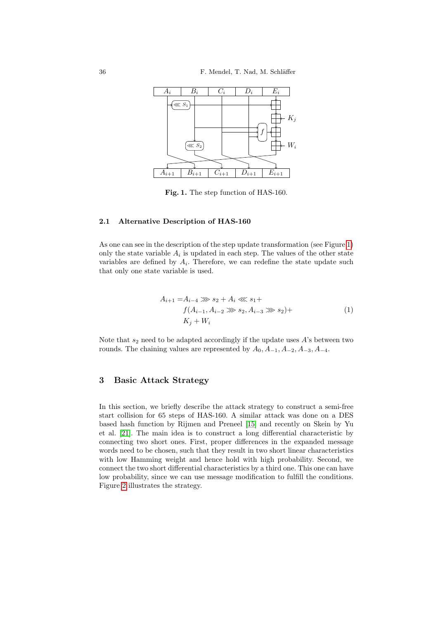<span id="page-3-1"></span>

Fig. 1. The step function of HAS-1[60](#page-3-1).

### <span id="page-3-2"></span>2.1 Alternative Description of HAS-160

As one can see in the description of the step update transformation (see Figure 1) only the state variable  $A_i$  is updated in each step. The values of the other state variables are defined by  $A_i$ . Therefore, we can redefine the state update such that only one state variable is used.

$$
A_{i+1} = A_{i-4} \gg s_2 + A_i \ll s_1 +
$$
  
\n
$$
f(A_{i-1}, A_{i-2} \gg s_2, A_{i-3} \gg s_2) +
$$
  
\n
$$
K_j + W_i
$$
\n(1)

<span id="page-3-0"></span>Note that  $s_2$  need to be adapted accordingly if the update uses A's between two rounds. The chaining values are represented by  $A_0$ ,  $A_{-1}$ ,  $A_{-2}$ ,  $A_{-3}$ ,  $A_{-4}$ .

## 3 Basic Attack S[tra](#page-12-4)tegy

In this section, we briefly describe the attack strategy to construct a semi-free start collision for 65 steps of HAS-160. A similar attack was done on a DES based hash function by Rijmen and Preneel [15] and recently on Skein by Yu et al. [21]. The main idea is to construct a long differential characteristic by connecting two short ones. First, proper differences in the expanded message words need to be chosen, such that they result in two short linear characteristics with low Hamming weight and hence hold with high probability. Second, we connect the two short differential characteristics by a third one. This one can have low probability, since we can use message modification to fulfill the conditions. Figure 2 illustrates the strategy.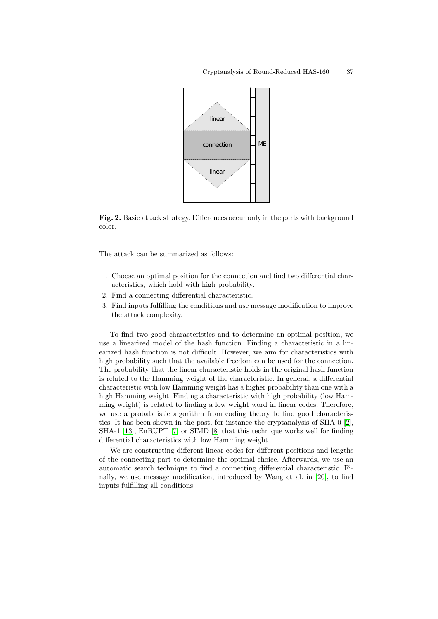

Fig. 2. Basic attack strategy. Differences occur only in the parts with background color.

The attack can be summarized as follows:

- 1. Choose an optimal position for the connection and find two differential characteristics, which hold with high probability.
- 2. Find a connecting differential characteristic.
- 3. Find inputs fulfilling the conditions and use message modification to improve the attack complexity.

To find two good characteristics and to determine an optimal position, we use a linearized model of the hash function. Finding a characteristic in a linearized hash function is not difficult. However, we aim for characteristics with high probability such that the available freedom can be used for the connection. The probability that the linear characteristic holds in t[he](#page-11-1) original hash function is [re](#page-12-6)lated to t[he](#page-12-7) Hamming weight of the characteristic. In general, a differential characteristic with low Hamming weight has a higher probability than one with a high Hamming weight. Finding a characteristic with high probability (low Hamming weight) is related to finding a low weight word in linear codes. Therefore, we use a probabilistic algorithm from coding theory to find good characteristics. It has been shown in the past, for instanc[e th](#page-12-8)e cryptanalysis of SHA-0 [2], SHA-1 [13], EnRUPT [7] or SIMD [8] that this technique works well for finding differential characteristics with low Hamming weight.

We are constructing different linear codes for different positions and lengths of the connecting part to determine the optimal choice. Afterwards, we use an automatic search technique to find a connecting differential characteristic. Finally, we use message modification, introduced by Wang et al. in [20], to find inputs fulfilling all conditions.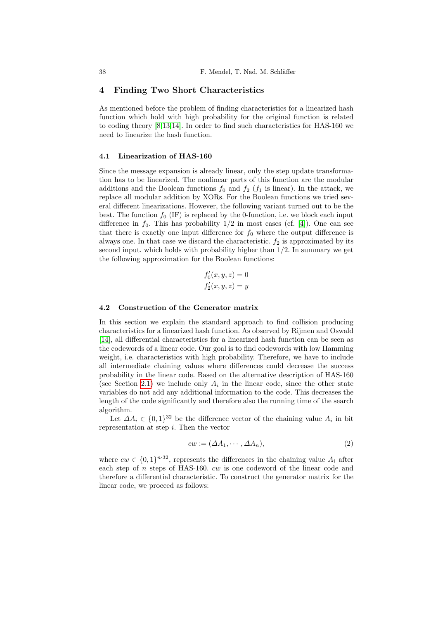## <span id="page-5-0"></span>4 Finding Two Short Characteristics

As mentioned before the problem of finding characteristics for a linearized hash function which hold with high probability for the original function is related to coding theory [8,13,14]. In order to find such characteristics for HAS-160 we need to linearize the hash function.

#### 4.1 Linearization of HAS-160

Since the message expansion is already li[nea](#page-12-11)r, only the step update transformation has to be linearized. The nonlinear parts of this function are the modular additions and the Boolean functions  $f_0$  and  $f_2$  ( $f_1$  is linear). In the attack, we replace all modular addition by XORs. For the Boolean functions we tried several different linearizations. However, the following variant turned out to be the best. The function  $f_0$  (IF) is replaced by the 0-function, i.e. we block each input difference in  $f_0$ . This has probability  $1/2$  in most cases (cf. [4]). One can see that there is exactly one input difference for  $f_0$  where the output difference is always one. In that case we discard the characteristic.  $f_2$  is approximated by its second input. which holds with probability higher than 1/2. In summary we get the following approximation for the Boolean functions:

$$
f'_0(x, y, z) = 0
$$
  

$$
f'_2(x, y, z) = y
$$

#### 4.2 Construction of the Generator matrix

In this section we explain the standard approach to find collision producing characteristics for a linearized hash function. As observed by Rijmen and Oswald [14], all differential characteristics for a linearized hash function can be seen as the codewords of a linear code. Our goal is to find codewords with low Hamming weight, i.e. characteristics with high probability. Therefore, we have to include all intermediate chaining values where differences could decrease the success probability in the linear code. Based on the alternative description of HAS-160 (see Section 2.1) we include only  $A_i$  in the linear code, since the other state variables do not add any additional information to the code. This decreases the length of the code significantly and therefore also the running time of the search algorithm.

Let  $\Delta A_i \in \{0,1\}^{32}$  be the difference vector of the chaining value  $A_i$  in bit representation at step  $i$ . Then the vector

<span id="page-5-1"></span>
$$
cw := (\Delta A_1, \cdots, \Delta A_n),\tag{2}
$$

where  $cw \in \{0,1\}^{n \cdot 32}$ , represents the differences in the chaining value  $A_i$  after each step of  $n$  steps of HAS-160.  $cw$  is one codeword of the linear code and therefore a differential characteristic. To construct the generator matrix for the linear code, we proceed as follows: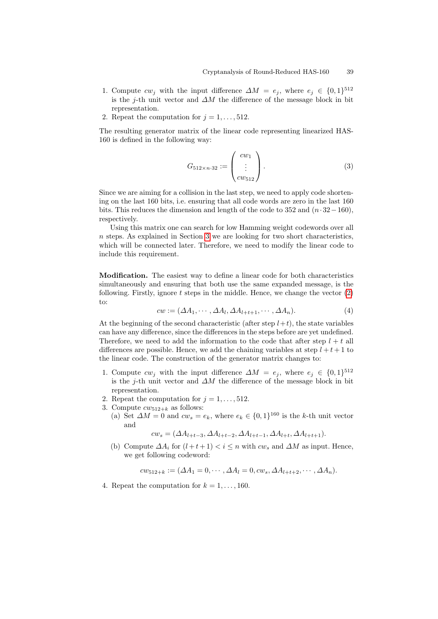- 1. Compute  $cw_j$  with the input difference  $\Delta M = e_j$ , where  $e_j \in \{0,1\}^{512}$ is the j-th unit vector and  $\Delta M$  the difference of the message block in bit representation.
- 2. Repeat the computation for  $j = 1, \ldots, 512$ .

The resulting generator matrix of the linear code representing linearized HAS-160 is defined in the following way:

$$
G_{512 \times n \cdot 32} := \begin{pmatrix} cw_1 \\ \vdots \\ cw_{512} \end{pmatrix} . \tag{3}
$$

Since we ar[e a](#page-3-0)iming for a collision in the last step, we need to apply code shortening on the last 160 bits, i.e. ensuring that all code words are zero in the last 160 bits. This reduces the dimension and length of the code to 352 and  $(n \cdot 32 - 160)$ , respectively.

Using this matrix one can search for low Hamming weight codewords over all  $n$  steps. As explained in Section 3 we are looking for two short characteristics, which will be connected later. Therefore, we need to m[od](#page-5-1)ify the linear code to include this requirement.

Modification. The easiest way to define a linear code for both characteristics simultaneously and ensuring that both use the same expanded message, is the following. Firstly, ignore  $t$  steps in the middle. Hence, we change the vector  $(2)$ to:

$$
cw := (\Delta A_1, \cdots, \Delta A_l, \Delta A_{l+t+1}, \cdots, \Delta A_n). \tag{4}
$$

At the beginning of the second characteristic (after step  $l+t$ ), the state variables can have any difference, since the differences in the steps before are yet undefined. Therefore, we need to add the information to the code that after step  $l + t$  all differences are possible. Hence, we add the chaining variables at step  $l + t + 1$  to the linear code. The construction of the generator matrix changes to:

- 1. Compute  $cw_j$  with the input difference  $\Delta M = e_j$ , where  $e_j \in \{0,1\}^{512}$ is the j-th unit vector and  $\Delta M$  the difference of the message block in bit representation.
- 2. Repeat the computation for  $j = 1, \ldots, 512$ .
- 3. Compute  $cw_{512+k}$  as follows:
	- (a) Set  $\Delta M = 0$  and  $cw_s = e_k$ , where  $e_k \in \{0,1\}^{160}$  is the k-th unit vector and

$$
c w_s = (\Delta A_{l+t-3}, \Delta A_{l+t-2}, \Delta A_{l+t-1}, \Delta A_{l+t}, \Delta A_{l+t+1}).
$$

(b) Compute  $\Delta A_i$  for  $(l + t + 1) < i \leq n$  with  $cw_s$  and  $\Delta M$  as input. Hence, we get following codeword:

$$
c w_{512+k} := (\Delta A_1 = 0, \cdots, \Delta A_l = 0, cw_s, \Delta A_{l+t+2}, \cdots, \Delta A_n).
$$

4. Repeat the computation for  $k = 1, \ldots, 160$ .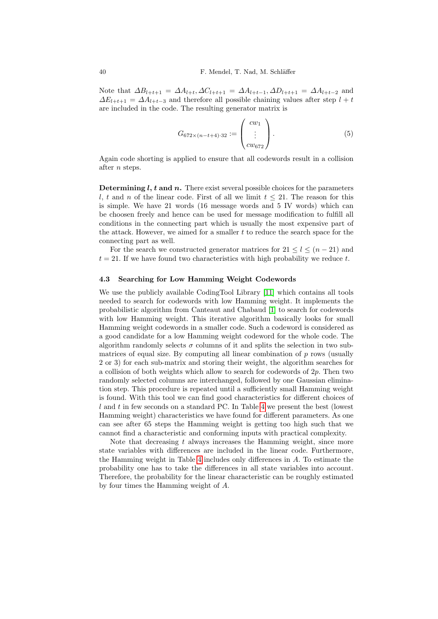Note that  $\Delta B_{l+t+1} = \Delta A_{l+t}, \Delta C_{l+t+1} = \Delta A_{l+t-1}, \Delta D_{l+t+1} = \Delta A_{l+t-2}$  and  $\Delta E_{l+t+1} = \Delta A_{l+t-3}$  and therefore all possible chaining values after step  $l + t$ are included in the code. The resulting generator matrix is

$$
G_{672 \times (n-t+4) \cdot 32} := \begin{pmatrix} cw_1 \\ \vdots \\ cw_{672} \end{pmatrix} . \tag{5}
$$

Again code shorting is applied to ensure that all codewords result in a collision after n steps.

**Determining l, t and n.** There exist several possible choices for the parameters l, t and n of the linear code. First of all we limit  $t \leq 21$ . The reason for this is simple. We have 21 words (16 message words and 5 IV words) which can be choosen freely and hence can be used for message modification to fulfill all conditions in the connecting part which is usually the most expensive part of the attack. However, we aimed for a smaller  $t$  to reduce the search space for the connecting part as well.

For the search we constructed generator matrices for  $21 \le l \le (n-21)$  and  $t = 21$ . If we have found two ch[ara](#page-11-2)cteristics with high probability we reduce t.

#### 4.3 Searching for Low Hamming Weight Codewords

We use the publicly available CodingTool Library [11] which contains all tools needed to search for codewords with low Hamming weight. It implements the probabilistic algorithm from Canteaut and Chabaud [1] to search for codewords with low Hamming weight. This iterative algorithm basically looks for small Hamming weight codewords in a smaller code. Such a codeword is considered as a good candidate for a low Hamming weight codeword for the whole code. The algorithm randomly selects  $\sigma$  columns of it and splits the selection in two sub[m](#page-8-1)atrices of equal size. By computing all linear combination of  $p$  rows (usually 2 or 3) for each sub-matrix and storing their weight, the algorithm searches for a collision of both weights which allow to search for codewords of  $2p$ . Then two randomly selected columns are interchanged, followed by one Gaussian elimination step. This procedure is repeated until a sufficiently small Hamming weight is found. With this tool we can find good characteristics for different choices of  $l$  and t in [fe](#page-8-1)w seconds on a standard PC. In Table 4 we present the best (lowest Hamming weight) characteristics we have found for different parameters. As one can see after 65 steps the Hamming weight is getting too high such that we cannot find a characteristic and conforming inputs with practical complexity.

Note that decreasing  $t$  always increases the Hamming weight, since more state variables with differences are included in the linear code. Furthermore, the Hamming weight in Table 4 includes only differences in A. To estimate the probability one has to take the differences in all state variables into account. Therefore, the probability for the linear characteristic can be roughly estimated by four times the Hamming weight of A.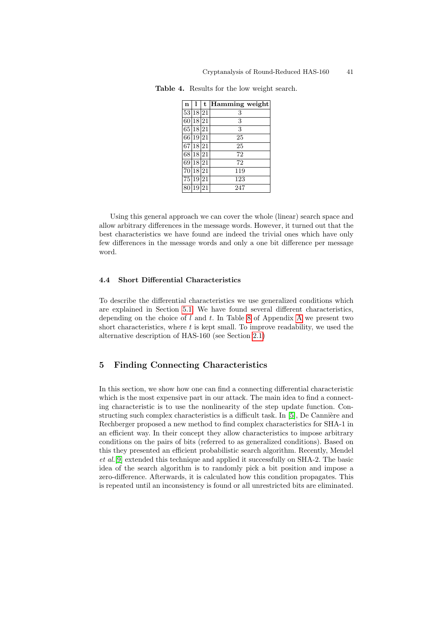| $\mathbf n$ | ı               | t  | Hamming weight |
|-------------|-----------------|----|----------------|
| 53          | 18              | 21 | 3              |
| 60          | 18 21           |    | 3              |
| 65          | $\overline{18}$ | 21 | 3              |
| 661         | 19 21           |    | 25             |
| 67          | 18              | 21 | 25             |
| 68          | 18 21           |    | 72             |
| 69          | <b>18</b>       | 21 | 72             |
| 70          | 18 21           |    | 119            |
| 75          | 19              | 21 | 123            |
| 80          | 19              | 21 | 247            |

<span id="page-8-1"></span>Table 4. Results for the low weight search.

Using this general approach we can cover the whole (linear) search space and allow arbitrary differences in the message words. However, it turned out that the best characteristics we have found are indeed the trivial ones which have only few differences in the message words and only a one bit difference per message wor[d.](#page-9-0)

#### 4.4 Short Differential [Ch](#page-3-2)aracteristics

<span id="page-8-0"></span>To describe the differential characteristics we use generalized conditions which are explained in Section 5.1. We have found several different characteristics, depending on the choice of  $l$  and  $t$ . In Table 8 of Appendix A we present two short characteristics, where  $t$  is kept small. To improve readability, we used the alternative description of HAS-160 (see Section 2.1)

## 5 Finding Connecting Cha[ra](#page-12-12)cteristics

In this section, we show how one can find a connecting differential characteristic which is the most expensive part in our attack. The main idea to find a connecting characteristic is to use the nonlinearity of the step update function. Constructing such complex characteristics is a difficult task. In  $[5]$ , De Cannière and Rechberger proposed a new method to find complex characteristics for SHA-1 in an efficient way. In their concept they allow characteristics to impose arbitrary conditions on the pairs of bits (referred to as generalized conditions). Based on this they presented an efficient probabilistic search algorithm. Recently, Mendel et al.[9] extended this technique and applied it successfully on SHA-2. The basic idea of the search algorithm is to randomly pick a bit position and impose a zero-difference. Afterwards, it is calculated how this condition propagates. This is repeated until an inconsistency is found or all unrestricted bits are eliminated.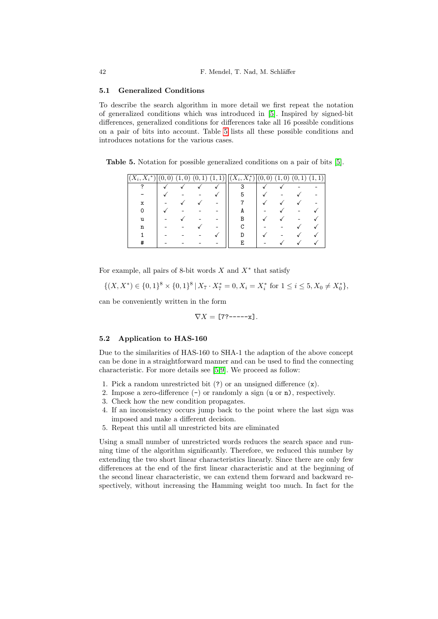#### 5.1 Generalized Conditions

To describe the search algorithm in more detail we first repeat the notation of generalized conditions which was introduced in [\[5](#page-12-12)]. Inspired by signed-bit differences, generalized conditions for differences take all 16 possible conditions on a pair of bits into account. Table 5 lists all these possible conditions and introduces notations for the various cases.

Table 5. Notation for possible generalized conditions on a pair of bits [5].

| $(X_i,\overline{X_i^*})$ | $\overline{0}$<br>v | $\overline{0}$<br>$\mathbf{1}$ | 1 <sub>1</sub><br>(0, | 1)<br>1<br><b>L</b> | $\overline{(X_i, X_i^*)}$ | $\overline{0}$<br>(0, 0) | $\overline{0}$<br>$\mathbf{1}$ | 1<br>(0, 0) |  |
|--------------------------|---------------------|--------------------------------|-----------------------|---------------------|---------------------------|--------------------------|--------------------------------|-------------|--|
| 7                        |                     |                                |                       |                     | 3                         |                          |                                |             |  |
|                          |                     |                                |                       |                     |                           |                          |                                |             |  |
| x                        |                     |                                |                       |                     |                           |                          |                                |             |  |
|                          |                     |                                |                       |                     |                           |                          |                                |             |  |
| u                        |                     |                                |                       |                     |                           |                          |                                |             |  |
| n                        |                     |                                |                       |                     |                           |                          |                                |             |  |
|                          |                     |                                |                       |                     |                           |                          |                                |             |  |
| Ħ                        |                     |                                |                       |                     | F.                        |                          |                                |             |  |

For example, all pairs of 8-bit words  $X$  and  $X^*$  that satisfy

$$
\{(X, X^*) \in \{0, 1\}^8 \times \{0, 1\}^8 \mid X_7 \cdot X_7^* = 0, X_i = X_i^* \text{ for } 1 \le i \le 5, X_0 \neq X_0^*\},
$$

can be conveniently written in the form

$$
\nabla X = [7?---x].
$$

#### 5.2 Application to HAS-160

Due to the similarities of HAS-160 to SHA-1 the adaption of the above concept can be done in a straightforward manner and can be used to find the connecting characteristic. For more details see [5,9]. We proceed as follow:

- 1. Pick a random unrestricted bit (?) or an unsigned difference (x).
- 2. Impose a zero-difference (-) or randomly a sign (u or n), respectively.
- 3. Check how the new condition propagates.
- 4. If an inconsistency occurs jump back to the point where the last sign was imposed and make a different decision.
- 5. Repeat this until all unrestricted bits are eliminated

Using a small number of unrestricted words reduces the search space and running time of the algorithm significantly. Therefore, we reduced this number by extending the two short linear characteristics linearly. Since there are only few differences at the end of the first linear characteristic and at the beginning of the second linear characteristic, we can extend them forward and backward respectively, without increasing the Hamming weight too much. In fact for the

<span id="page-9-0"></span>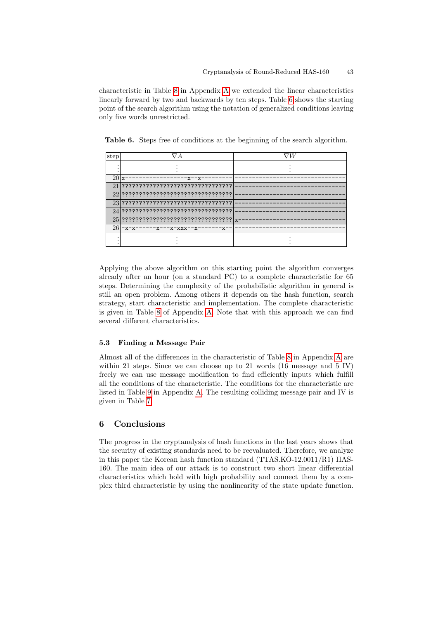characteristic in Table 8 in Appendix A we extended the linear characteristics linearly forward by two and backwards by ten steps. Table 6 shows the starting point of the search algorithm using the notation of generalized conditions leaving only five words unrestricted.

Table 6. Steps free of conditions at the beginning of the search algorithm.

| step            |                                           |  |
|-----------------|-------------------------------------------|--|
|                 |                                           |  |
| 20 <sub>x</sub> |                                           |  |
|                 |                                           |  |
|                 |                                           |  |
|                 |                                           |  |
|                 | $24$  2222222222222222222222222222222     |  |
|                 | $25$  ????????????????????????????????? x |  |
|                 | $26$  -x-x-------x---x-xxx--x--------x-   |  |
|                 |                                           |  |
|                 |                                           |  |

<span id="page-10-0"></span>Applying t[he](#page-13-0) above algorithm on this starting point the algorithm converges already after an hour (on a standard PC) to a complete characteristic for 65 steps. Determining the complexity of the probabilistic algorithm in general is still an open problem. Among others it depends on the hash function, search strategy, start characteristic and im[ple](#page-13-1)mentation. [The](#page-13-0) complete characteristic is given in Table 8 of Appendix A. Note that with this approach we can find several different characteristics.

#### 5.3 Fi[nd](#page-13-0)ing a Message Pair

<span id="page-10-1"></span>Almost all of the differences in the characteristic of Table 8 in Appendix A are within 21 steps. Since we can choose up to 21 words (16 message and 5 IV) freely we can use message modification to find efficiently inputs which fulfill all the conditions of the characteristic. The conditions for the characteristic are listed in Table 9 in Appendix A. The resulting colliding message pair and IV is given in Table 7.

## 6 Conclusions

The progress in the cryptanalysis of hash functions in the last years shows that the security of existing standards need to be reevaluated. Therefore, we analyze in this paper the Korean hash function standard (TTAS.KO-12.0011/R1) HAS-160. The main idea of our attack is to construct two short linear differential characteristics which hold with high probability and connect them by a complex third characteristic by using the nonlinearity of the state update function.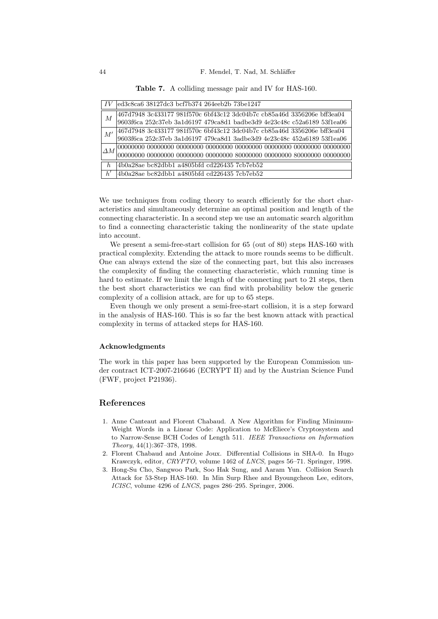|          | led3c8ca6 38127dc3 bcf7b374 264eeb2b 73be1247                           |
|----------|-------------------------------------------------------------------------|
|          | 467d7948 3c433177 981f570c 6bf43c12 3dc04b7c cb85a46d 3356206e bff3ea04 |
| М        | 9603f6ca 252c37eb 3a1d6197 479ca8d1 badbe3d9 4e23c48c c52a6189 53f1ea06 |
|          | 467d7948 3c433177 981f570c 6bf43c12 3dc04b7c cb85a46d 3356206e bff3ea04 |
|          | 9603f6ca 252c37eb 3a1d6197 479ca8d1 3adbe3d9 4e23c48c 452a6189 53f1ea06 |
|          |                                                                         |
| M'<br>h, |                                                                         |
|          | 4b0a28ae bc82dbb1 a4805bfd cd226435 7cb7eb52                            |
|          | 4b0a28ae bc82dbb1 a4805bfd cd226435 7cb7eb52                            |

Table 7. A colliding message pair and IV for HAS-160.

We use techniques from coding theory to search efficiently for the short characteristics and simultaneously determine an optimal position and length of the connecting characteristic. In a second step we use an automatic search algorithm to find a connecting characteristic taking the nonlinearity of the state update into account.

We present a semi-free-start collision for 65 (out of 80) steps HAS-160 with practical complexity. Extending the attack to more rounds seems to be difficult. One can always extend the size of the connecting part, but this also increases the complexity of finding the connecting characteristic, which running time is hard to estimate. If we limit the length of the connecting part to 21 steps, then the best short characteristics we can find with probability below the generic complexity of a collision attack, are for up to 65 steps.

Even though we only present a semi-free-start collision, it is a step forward in the analysis of HAS-160. This is so far the best known attack with practical complexity in terms of attacked steps for HAS-160.

#### Acknowledgments

The work in this paper has been supported by the European Commission under contract ICT-2007-216646 (ECRYPT II) and by the Austrian Science Fund (FWF, project P21936).

## References

- <span id="page-11-2"></span>1. Anne Canteaut and Florent Chabaud. A New Algorithm for Finding Minimum-Weight Words in a Linear Code: Application to McEliece's Cryptosystem and to Narrow-Sense BCH Codes of Length 511. IEEE Transactions on Information Theory, 44(1):367–378, 1998.
- <span id="page-11-1"></span>2. Florent Chabaud and Antoine Joux. Differential Collisions in SHA-0. In Hugo Krawczyk, editor, CRYPTO, volume 1462 of LNCS, pages 56–71. Springer, 1998.
- <span id="page-11-0"></span>3. Hong-Su Cho, Sangwoo Park, Soo Hak Sung, and Aaram Yun. Collision Search Attack for 53-Step HAS-160. In Min Surp Rhee and Byoungcheon Lee, editors, ICISC, volume 4296 of LNCS, pages 286–295. Springer, 2006.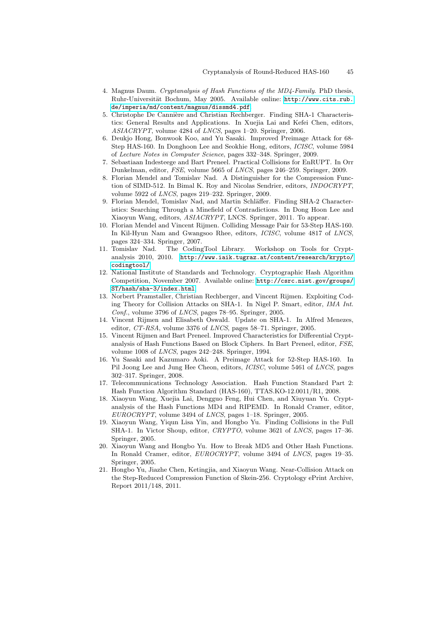- <span id="page-12-12"></span><span id="page-12-11"></span>4. Magnus Daum. Cryptanalysis of Hash Functions of the MD4-Family. PhD thesis, Ruhr-Universität Bochum, May 2005. Available online: http://www.cits.rub. de/imperia/md/content/magnus/dissmd4.pdf.
- <span id="page-12-7"></span><span id="page-12-6"></span>5. Christophe De Cannière and Christian Rechberger. Finding SHA-1 Characteristics: General Results and Applications. In Xuejia Lai and Kefei Chen, editors, ASIACRYPT, volume 4284 of LNCS, pages 1–20. Springer, 2006.
- 6. Deukjo Hong, Bonwook Koo, and Yu Sasaki. Improved Preimage Attack for 68- Step HAS-160. In Donghoon Lee and Seokhie Hong, editors, ICISC, volume 5984 of Lecture Notes in Computer Science, pages 332–348. Springer, 2009.
- 7. Sebastiaan Indesteege and Bart Preneel. Practical Collisions for EnRUPT. In Orr Dunkelman, editor, FSE, volume 5665 of LNCS, pages 246–259. Springer, 2009.
- <span id="page-12-2"></span>8. Florian Mendel and Tomislav Nad. A Distinguisher for the Compression Function of SIMD-512. In Bimal K. Roy and Nicolas Sendrier, editors, INDOCRYPT, volume 5922 of LNCS, pages 219–232. Springer, 2009.
- 9. Florian Mendel, Tomislav Nad, and Martin Schläffer. Finding SHA-2 Character[istics: Searching Through a Minefield of Contradictions. In](http://www.iaik.tugraz.at/content/research/krypto/codingtool/) Dong Hoon Lee and Xiaoyun Wang, editors, ASIACRYPT, LNCS. Springer, 2011. To appear.
- <span id="page-12-0"></span>10. Florian Mendel and Vincent Rijmen. Colliding Message Pair for 53-Step HAS-160. In Kil-Hyun Nam and G[wangsoo Rhee, editors,](http://csrc.nist.gov/groups/ST/hash/sha-3/index.html) ICISC, volume 4817 of LNCS, [pages](http://csrc.nist.gov/groups/ST/hash/sha-3/index.html) 324–334. Springer, 2007.
- <span id="page-12-9"></span>11. Tomislav Nad. The CodingTool Library. Workshop on Tools for Cryptanalysis 2010, 2010. http://www.iaik.tugraz.at/content/research/krypto/ codingtool/.
- <span id="page-12-10"></span><span id="page-12-4"></span>12. National Institute of Standards and Technology. Cryptographic Hash Algorithm Competition, November 2007. Available online: http://csrc.nist.gov/groups/ ST/hash/sha-3/index.html.
- <span id="page-12-3"></span>13. Norbert Pramstaller, Christian Rechberger, and Vincent Rijmen. Exploiting Coding Theory for Collision Attacks on SHA-1. In Nigel P. Smart, editor, IMA Int. Conf., volume 3796 of LNCS, pages 78–95. Springer, 2005.
- 14. Vincent Rijmen and Elisabeth Oswald. Update on SHA-1. In Alfred Menezes, editor, CT-RSA, volume 3376 of LNCS, pages 58–71. Springer, 2005.
- <span id="page-12-1"></span>15. Vincent Rijmen and Bart Preneel. Improved Characteristics for Differential Cryptanalysis of Hash Functions Based on Block Ciphers. In Bart Preneel, editor, FSE, volume 1008 of LNCS, pages 242–248. Springer, 1994.
- 16. Yu Sasaki and Kazumaro Aoki. A Preimage Attack for 52-Step HAS-160. In Pil Joong Lee and Jung Hee Cheon, editors, ICISC, volume 5461 of LNCS, pages 302–317. Springer, 2008.
- 17. Telecommunications Technology Association. Hash Function Standard Part 2: Hash Function Algorithm Standard (HAS-160), TTAS.KO-12.0011/R1, 2008.
- <span id="page-12-8"></span>18. Xiaoyun Wang, Xuejia Lai, Dengguo Feng, Hui Chen, and Xiuyuan Yu. Cryptanalysis of the Hash Functions MD4 and RIPEMD. In Ronald Cramer, editor, EUROCRYPT, volume 3494 of LNCS, pages 1–18. Springer, 2005.
- <span id="page-12-5"></span>19. Xiaoyun Wang, Yiqun Lisa Yin, and Hongbo Yu. Finding Collisions in the Full SHA-1. In Victor Shoup, editor, CRYPTO, volume 3621 of LNCS, pages 17–36. Springer, 2005.
- 20. Xiaoyun Wang and Hongbo Yu. How to Break MD5 and Other Hash Functions. In Ronald Cramer, editor, EUROCRYPT, volume 3494 of LNCS, pages 19–35. Springer, 2005.
- 21. Hongbo Yu, Jiazhe Chen, Ketingjia, and Xiaoyun Wang. Near-Collision Attack on the Step-Reduced Compression Function of Skein-256. Cryptology ePrint Archive, Report 2011/148, 2011.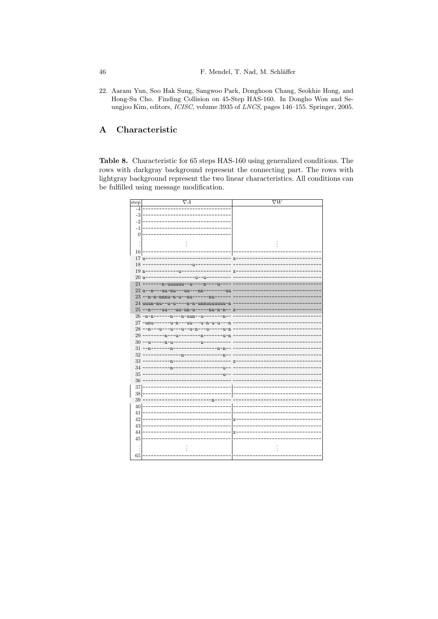22. Aaram Yun, Soo Hak Sung, Sangwoo Park, Donghoon Chang, Seokhie Hong, and Hong-Su Cho. Finding Collision on 45-Step HAS-160. In Dongho Won and Seungjoo Kim, editors, ICISC, volume 3935 of LNCS, pages 146-155. Springer, 2005.

#### <span id="page-13-0"></span> $\mathbf{A}$ Characteristic

<span id="page-13-1"></span>Table 8. Characteristic for 65 steps HAS-160 using generalized conditions. The rows with darkgray background represent the connecting part. The rows with lightgray background represent the two linear characteristics. All conditions can be fulfilled using message modification.

| $_{step}$       | $\nabla A$                                   | $\overline{\nabla W}$ |
|-----------------|----------------------------------------------|-----------------------|
| $-4$            |                                              |                       |
| $-3$            |                                              |                       |
| -2              |                                              |                       |
| -1              |                                              |                       |
| $\overline{0}$  |                                              |                       |
|                 |                                              |                       |
|                 |                                              |                       |
| 16              |                                              |                       |
| $17  $ u-       |                                              | $x -$                 |
| 18              |                                              |                       |
| $19 n-$         |                                              | X                     |
| $20  u -$       | ·u−−u−−-                                     |                       |
| 21 <sup>1</sup> | -------n-uuuuuu--u----n----u-                |                       |
|                 | $22 u - n - -uu - nu - -uu - -nn - - - --uu$ |                       |
| 23 <sup>1</sup> | --n-n-nnnu-n-u--nu------nu------             |                       |
|                 | 24 uuun-nu--u-u----n-n-unnuuuuuuu-n          |                       |
| 25 <sub>1</sub> | --n----uu---uu-un-u-----nu-n-n--             | $x -$                 |
|                 | 26-n-n-------n---n-uun--u--------n--         | --                    |
|                 | 27 - unu------u-n---uu---u-n-u-u---n         |                       |
|                 | $28$ --n---u---u---u--u-n---u-----u-n        |                       |
| 29              | -n-------u-n<br>--n---u-                     |                       |
| 30 <sup>°</sup> | $-$ -u------n-u------------u----             |                       |
| 31              | --n--------n<br>-------n-n--                 |                       |
| 32              | -----------n                                 |                       |
| 33              |                                              | x                     |
| 34              | ---------u-                                  |                       |
| $35\,$          |                                              |                       |
| 36              |                                              |                       |
| 37              |                                              |                       |
| 38              |                                              |                       |
| 39              | 'n                                           |                       |
| 40              |                                              |                       |
| 41              |                                              |                       |
| 42              |                                              | $x -$                 |
| 43              |                                              |                       |
| 44              |                                              |                       |
| 45              |                                              | х.                    |
|                 |                                              |                       |
|                 |                                              |                       |
| 65              |                                              |                       |